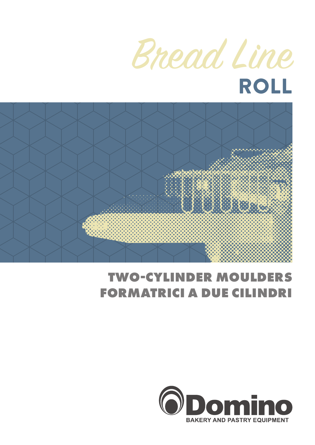



# **TWO-CYLINDER MOULDERS FORMATRICI A DUE CILINDRI**

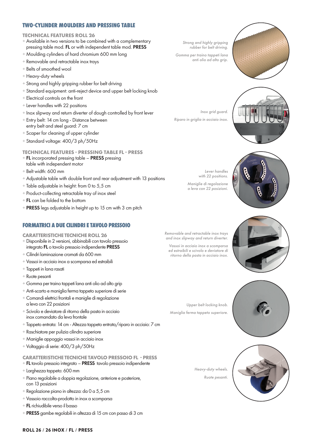## **TWO-CYLINDER MOULDERS AND PRESSING TABLE**

#### **TECHNICAL FEATURES ROLL 26**

- + Available in two versions to be combined with a complementary pressing table mod. FL or with independent table mod. PRESS
- + Moulding cylinders of hard chromium 600 mm long
- + Removable and retractable inox trays
- + Belts of smoothed wool
- + Heavy-duty wheels
- + Strong and highly gripping rubber for belt driving
- + Standard equipment: anti-reject device and upper belt locking knob
- + Electrical controls on the front
- + Lever handles with 22 positions
- + Inox slipway and return diverter of dough controlled by front lever
- + Entry belt: 14 cm long Distance between entry belt and steel guard: 7 cm
- + Scaper for cleaning of upper cylinder
- + Standard voltage: 400/3 ph/50Hz

### **TECHNICAL FEATURES - PRESSING TABLE FL - PRESS**

- + FL incorporated pressing table PRESS pressing table with independent motor
- + Belt width: 600 mm
- + Adjustable table with double front and rear adjustment with 13 positions
- + Table adjustable in height: from 0 to 5,5 cm
- + Product-collecting retractable tray of inox steel
- $+$  FL can be folded to the bottom
- + PRESS legs adjustable in height up to 15 cm with 3 cm pitch

## **FORMATRICI A DUE CILINDRI E TAVOLO PRESSOIO**

#### **CARATTERISTICHE TECNICHE ROLL 26**

- + Disponibile in 2 versioni, abbinabili con tavolo pressoio integrato FL o tavolo pressoio indipendente PRESS
- + Cilindri laminazione cromati da 600 mm
- + Vassoi in acciaio inox a scomparsa ed estraibili
- + Tappeti in lana rasati
- + Ruote pesanti
- + Gomma per traino tappeti lana anti olio ad alto grip
- + Anti-scarto e maniglia ferma tappeto superiore di serie
- + Comandi elettrici frontali e maniglie di regolazione a leva con 22 posizioni
- + Scivolo e deviatore di ritorno della pasta in acciaio inox comandato da leva frontale
- + Tappeto entrata: 14 cm Altezza tappeto entrata/riparo in acciaio: 7 cm
- + Raschiatore per pulizia cilindro superiore
- + Maniglie appoggio vassoi in acciaio inox
- + Voltaggio di serie: 400/3 ph/50Hz

### **CARATTERISTICHE TECNICHE TAVOLO PRESSOIO FL - PRESS**

- + FL tavolo pressoio integrato PRESS tavolo pressoio indipendente
- + Larghezza tappeto: 600 mm
- + Piano regolabile a doppia regolazione, anteriore e posteriore, con 13 posizioni
- + Regolazione piano in altezza: da 0 a 5,5 cm
- + Vassoio raccolta-prodotto in inox a scomparsa
- + FL richiudibile verso il basso
- + PRESS gambe regolabili in altezza di 15 cm con passo di 3 cm

*Strong and highly gripping rubber for belt driving.*

*Gomma per traino tappeti lana anti olio ad alto grip.*



*Inox grid guard. Riparo in griglia in acciaio inox.*



*Lever handles with 22 positions.*

*Maniglie di regolazione a leva con 22 posizioni.*



*Removable and retractable inox trays and inox slipway and return diverter.* 

*Vassoi in acciaio inox a scomparsa ed estraibili e scivolo e deviatore di ritorno della pasta in acciaio inox.*

*Upper belt locking knob. Maniglia ferma tappeto superiore.*



*Heavy-duty wheels. Ruote pesanti.*

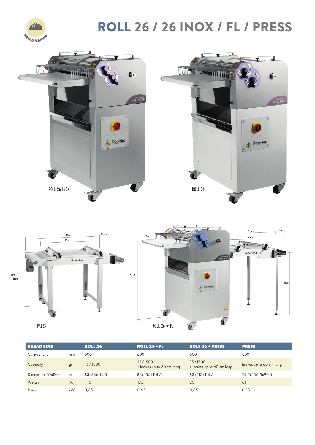

# ROLL 26 / 26 INOX / FL / PRESS





| <b>BREAD LINE</b> |    | <b>ROLL 26</b> | <b>ROLL 26 + FL</b>                  | <b>ROLL 26 + PRESS</b>               | <b>PRESS</b>            |
|-------------------|----|----------------|--------------------------------------|--------------------------------------|-------------------------|
| Cylinder width    | mm | 600            | 600                                  | 600                                  | 600                     |
| Capacity          | gr | 15/1500        | 15/1500<br>+ loaves up to 60 cm long | 15/1500<br>+ loaves up to 60 cm long | loaves up to 60 cm long |
| Dimensions WxDxH  | cm | 83x84x114.5    | 83x155x114,5                         | 83x217x114.5                         | 74,5x136,5x90,5         |
| Weight            | Kg | 140            | 175                                  | 201                                  | 61                      |
| Power             | kW | 0,65           | 0,65                                 | 0,65                                 | 0,18                    |